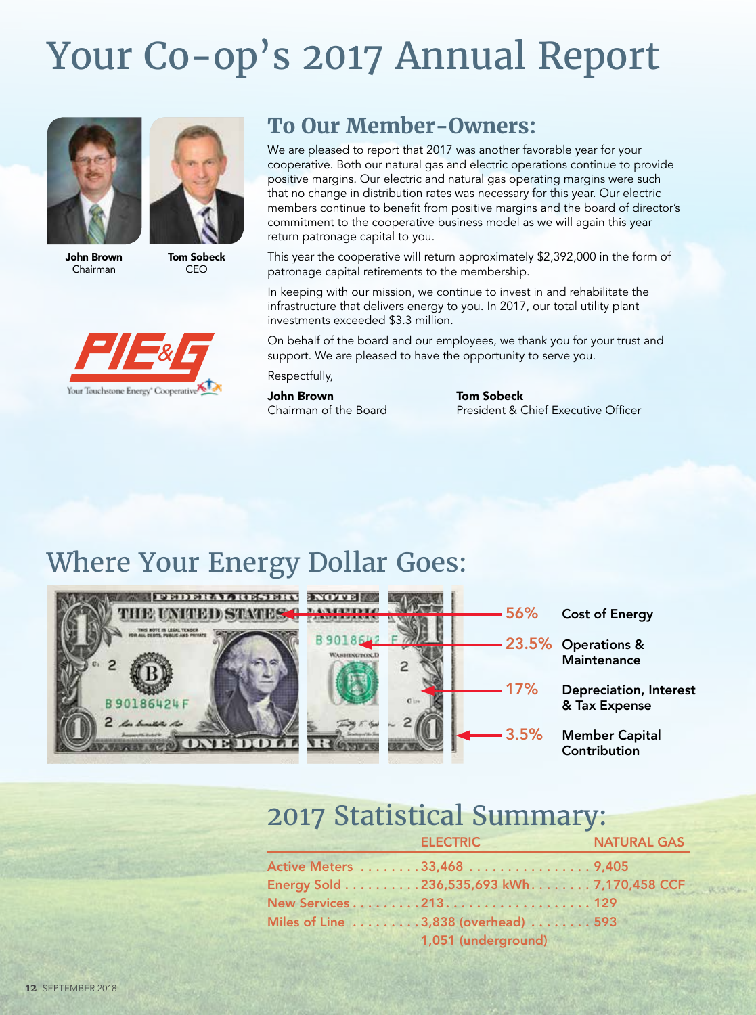# Your Co-op's 2017 Annual Report







#### **To Our Member-Owners:**

We are pleased to report that 2017 was another favorable year for your cooperative. Both our natural gas and electric operations continue to provide positive margins. Our electric and natural gas operating margins were such that no change in distribution rates was necessary for this year. Our electric members continue to benefit from positive margins and the board of director's commitment to the cooperative business model as we will again this year return patronage capital to you.

This year the cooperative will return approximately \$2,392,000 in the form of patronage capital retirements to the membership.

In keeping with our mission, we continue to invest in and rehabilitate the infrastructure that delivers energy to you. In 2017, our total utility plant investments exceeded \$3.3 million.

On behalf of the board and our employees, we thank you for your trust and support. We are pleased to have the opportunity to serve you.

Respectfully,

**John Brown**<br>Chairman of the Board

**Tom Sobeck** President & Chief Executive Officer

## Where Your Energy Dollar Goes:



#### 2017 Statistical Summary:

| <b>ELECTRIC</b>                            | <b>NATURAL GAS</b> |
|--------------------------------------------|--------------------|
| Active Meters 33,468 9,405                 |                    |
| Energy Sold 236,535,693 kWh. 7,170,458 CCF |                    |
| New Services 213. 129                      |                    |
| Miles of Line 3,838 (overhead) 593         |                    |
| 1,051 (underground)                        |                    |